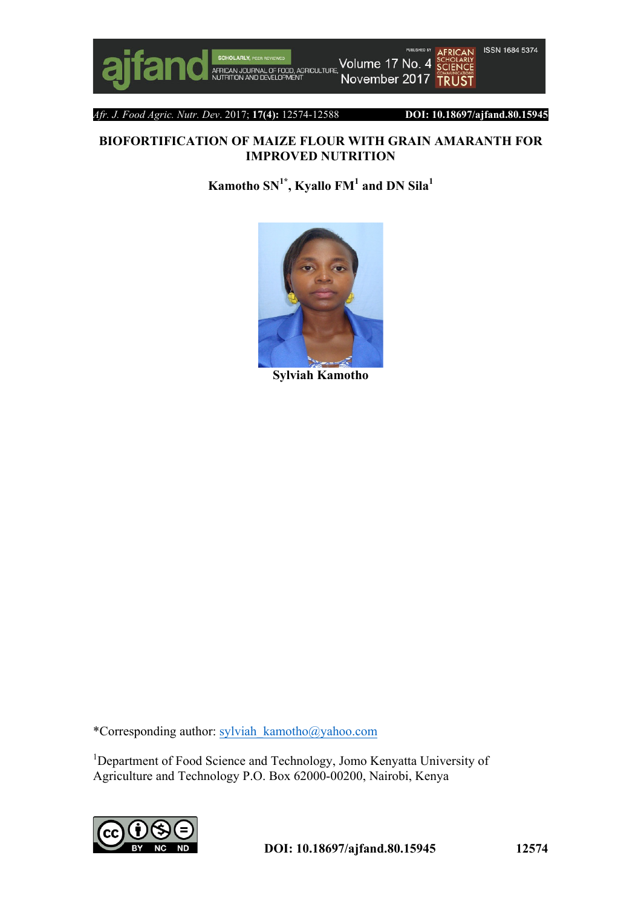

**PUBLISHED BY** Volume 17 No. 4 FOOD, AGRICULTURE November 2017



*Afr. J. Food Agric. Nutr. Dev*. 2017; **17(4):** 12574-12588 **DOI: 10.18697/ajfand.80.15945**

# **BIOFORTIFICATION OF MAIZE FLOUR WITH GRAIN AMARANTH FOR IMPROVED NUTRITION**

 $\mathbf{K}$ amotho SN<sup>1\*</sup>, Kyallo FM<sup>1</sup> and DN Sila<sup>1</sup>



**Sylviah Kamotho**

\*Corresponding author: sylviah\_kamotho@yahoo.com

<sup>1</sup>Department of Food Science and Technology, Jomo Kenyatta University of Agriculture and Technology P.O. Box 62000-00200, Nairobi, Kenya

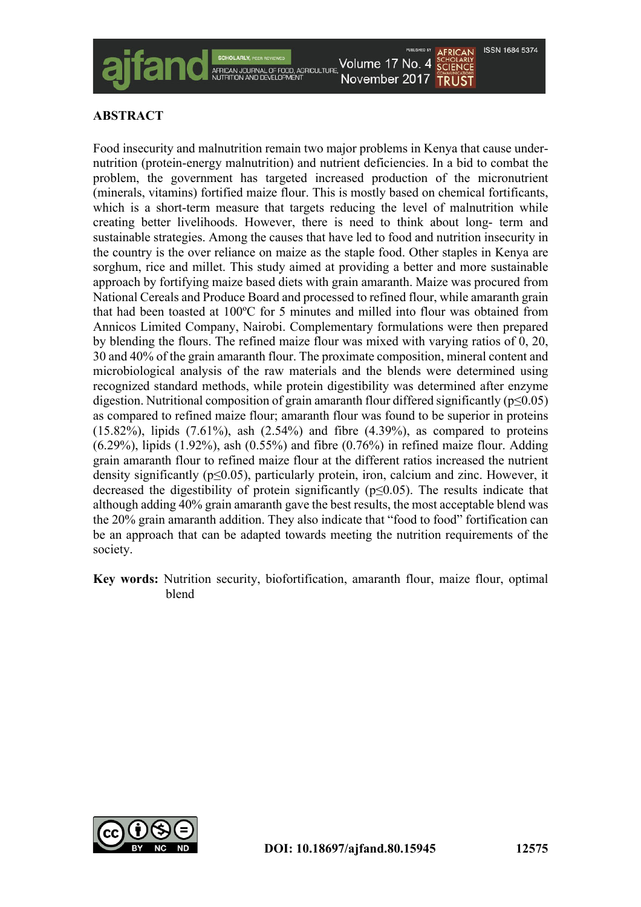

## **ABSTRACT**

Food insecurity and malnutrition remain two major problems in Kenya that cause undernutrition (protein-energy malnutrition) and nutrient deficiencies. In a bid to combat the problem, the government has targeted increased production of the micronutrient (minerals, vitamins) fortified maize flour. This is mostly based on chemical fortificants, which is a short-term measure that targets reducing the level of malnutrition while creating better livelihoods. However, there is need to think about long- term and sustainable strategies. Among the causes that have led to food and nutrition insecurity in the country is the over reliance on maize as the staple food. Other staples in Kenya are sorghum, rice and millet. This study aimed at providing a better and more sustainable approach by fortifying maize based diets with grain amaranth. Maize was procured from National Cereals and Produce Board and processed to refined flour, while amaranth grain that had been toasted at 100ºC for 5 minutes and milled into flour was obtained from Annicos Limited Company, Nairobi. Complementary formulations were then prepared by blending the flours. The refined maize flour was mixed with varying ratios of 0, 20, 30 and 40% of the grain amaranth flour. The proximate composition, mineral content and microbiological analysis of the raw materials and the blends were determined using recognized standard methods, while protein digestibility was determined after enzyme digestion. Nutritional composition of grain amaranth flour differed significantly ( $p \le 0.05$ ) as compared to refined maize flour; amaranth flour was found to be superior in proteins  $(15.82\%)$ , lipids  $(7.61\%)$ , ash  $(2.54\%)$  and fibre  $(4.39\%)$ , as compared to proteins (6.29%), lipids (1.92%), ash (0.55%) and fibre (0.76%) in refined maize flour. Adding grain amaranth flour to refined maize flour at the different ratios increased the nutrient density significantly ( $p \le 0.05$ ), particularly protein, iron, calcium and zinc. However, it decreased the digestibility of protein significantly ( $p \le 0.05$ ). The results indicate that although adding 40% grain amaranth gave the best results, the most acceptable blend was the 20% grain amaranth addition. They also indicate that "food to food" fortification can be an approach that can be adapted towards meeting the nutrition requirements of the society.

**Key words:** Nutrition security, biofortification, amaranth flour, maize flour, optimal blend

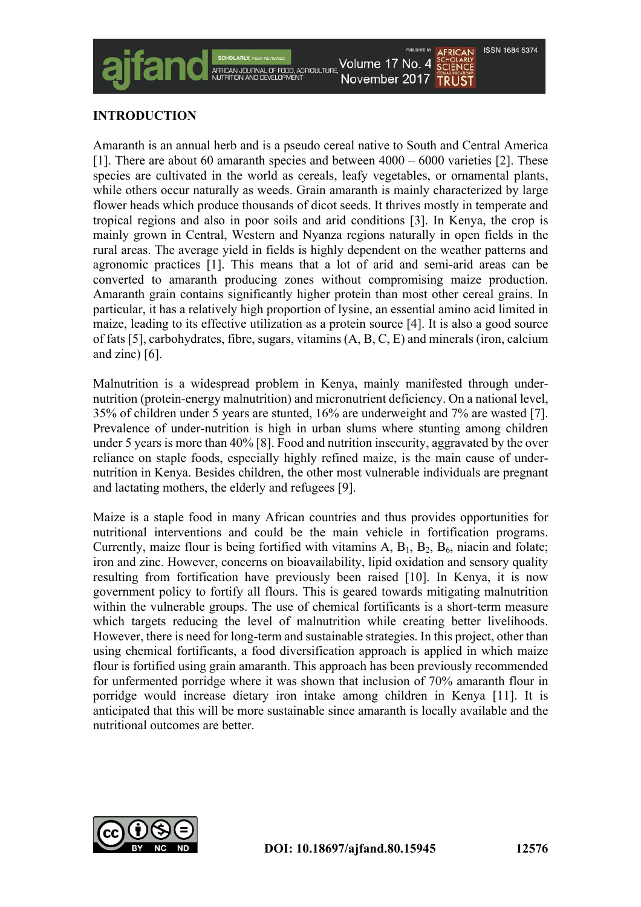## **INTRODUCTION**

Amaranth is an annual herb and is a pseudo cereal native to South and Central America [1]. There are about 60 amaranth species and between 4000 – 6000 varieties [2]. These species are cultivated in the world as cereals, leafy vegetables, or ornamental plants, while others occur naturally as weeds. Grain amaranth is mainly characterized by large flower heads which produce thousands of dicot seeds. It thrives mostly in temperate and tropical regions and also in poor soils and arid conditions [3]. In Kenya, the crop is mainly grown in Central, Western and Nyanza regions naturally in open fields in the rural areas. The average yield in fields is highly dependent on the weather patterns and agronomic practices [1]. This means that a lot of arid and semi-arid areas can be converted to amaranth producing zones without compromising maize production. Amaranth grain contains significantly higher protein than most other cereal grains. In particular, it has a relatively high proportion of lysine, an essential amino acid limited in maize, leading to its effective utilization as a protein source [4]. It is also a good source of fats [5], carbohydrates, fibre, sugars, vitamins (A, B, C, E) and minerals (iron, calcium and zinc) [6].

Malnutrition is a widespread problem in Kenya, mainly manifested through undernutrition (protein-energy malnutrition) and micronutrient deficiency. On a national level, 35% of children under 5 years are stunted, 16% are underweight and 7% are wasted [7]. Prevalence of under-nutrition is high in urban slums where stunting among children under 5 years is more than 40% [8]. Food and nutrition insecurity, aggravated by the over reliance on staple foods, especially highly refined maize, is the main cause of undernutrition in Kenya. Besides children, the other most vulnerable individuals are pregnant and lactating mothers, the elderly and refugees [9].

Maize is a staple food in many African countries and thus provides opportunities for nutritional interventions and could be the main vehicle in fortification programs. Currently, maize flour is being fortified with vitamins  $A$ ,  $B_1$ ,  $B_2$ ,  $B_6$ , niacin and folate; iron and zinc. However, concerns on bioavailability, lipid oxidation and sensory quality resulting from fortification have previously been raised [10]. In Kenya, it is now government policy to fortify all flours. This is geared towards mitigating malnutrition within the vulnerable groups. The use of chemical fortificants is a short-term measure which targets reducing the level of malnutrition while creating better livelihoods. However, there is need for long-term and sustainable strategies. In this project, other than using chemical fortificants, a food diversification approach is applied in which maize flour is fortified using grain amaranth. This approach has been previously recommended for unfermented porridge where it was shown that inclusion of 70% amaranth flour in porridge would increase dietary iron intake among children in Kenya [11]. It is anticipated that this will be more sustainable since amaranth is locally available and the nutritional outcomes are better.

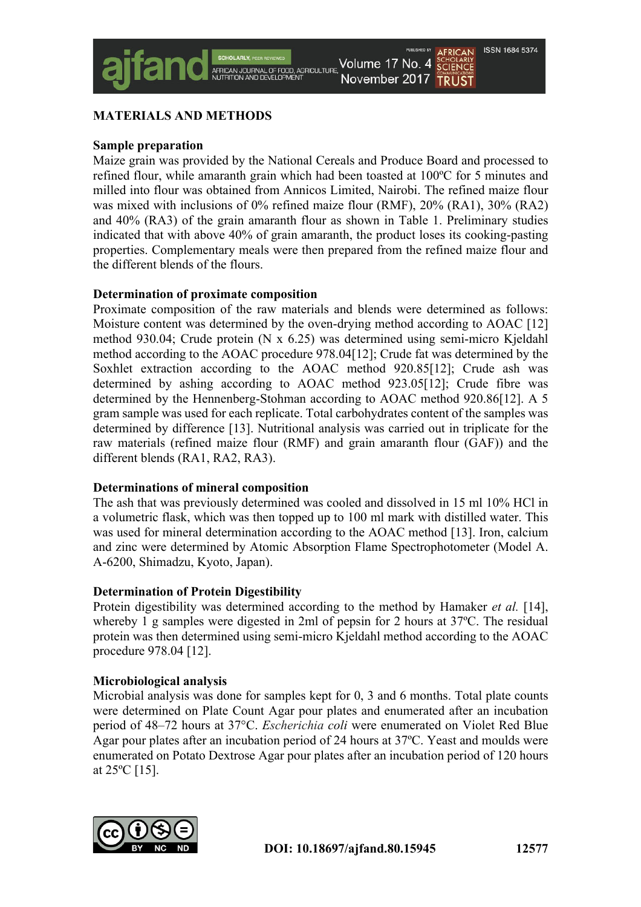## **MATERIALS AND METHODS**

### **Sample preparation**

Maize grain was provided by the National Cereals and Produce Board and processed to refined flour, while amaranth grain which had been toasted at 100ºC for 5 minutes and milled into flour was obtained from Annicos Limited, Nairobi. The refined maize flour was mixed with inclusions of 0% refined maize flour (RMF), 20% (RA1), 30% (RA2) and 40% (RA3) of the grain amaranth flour as shown in Table 1. Preliminary studies indicated that with above 40% of grain amaranth, the product loses its cooking-pasting properties. Complementary meals were then prepared from the refined maize flour and the different blends of the flours.

### **Determination of proximate composition**

Proximate composition of the raw materials and blends were determined as follows: Moisture content was determined by the oven-drying method according to AOAC [12] method 930.04; Crude protein (N x 6.25) was determined using semi-micro Kjeldahl method according to the AOAC procedure 978.04[12]; Crude fat was determined by the Soxhlet extraction according to the AOAC method 920.85[12]; Crude ash was determined by ashing according to AOAC method 923.05[12]; Crude fibre was determined by the Hennenberg-Stohman according to AOAC method 920.86[12]. A 5 gram sample was used for each replicate. Total carbohydrates content of the samples was determined by difference [13]. Nutritional analysis was carried out in triplicate for the raw materials (refined maize flour (RMF) and grain amaranth flour (GAF)) and the different blends (RA1, RA2, RA3).

### **Determinations of mineral composition**

The ash that was previously determined was cooled and dissolved in 15 ml 10% HCl in a volumetric flask, which was then topped up to 100 ml mark with distilled water. This was used for mineral determination according to the AOAC method [13]. Iron, calcium and zinc were determined by Atomic Absorption Flame Spectrophotometer (Model A. A-6200, Shimadzu, Kyoto, Japan).

## **Determination of Protein Digestibility**

Protein digestibility was determined according to the method by Hamaker *et al.* [14], whereby 1 g samples were digested in 2ml of pepsin for 2 hours at 37ºC. The residual protein was then determined using semi-micro Kjeldahl method according to the AOAC procedure 978.04 [12].

## **Microbiological analysis**

Microbial analysis was done for samples kept for 0, 3 and 6 months. Total plate counts were determined on Plate Count Agar pour plates and enumerated after an incubation period of 48–72 hours at 37°C. *Escherichia coli* were enumerated on Violet Red Blue Agar pour plates after an incubation period of 24 hours at 37ºC. Yeast and moulds were enumerated on Potato Dextrose Agar pour plates after an incubation period of 120 hours at 25ºC [15].

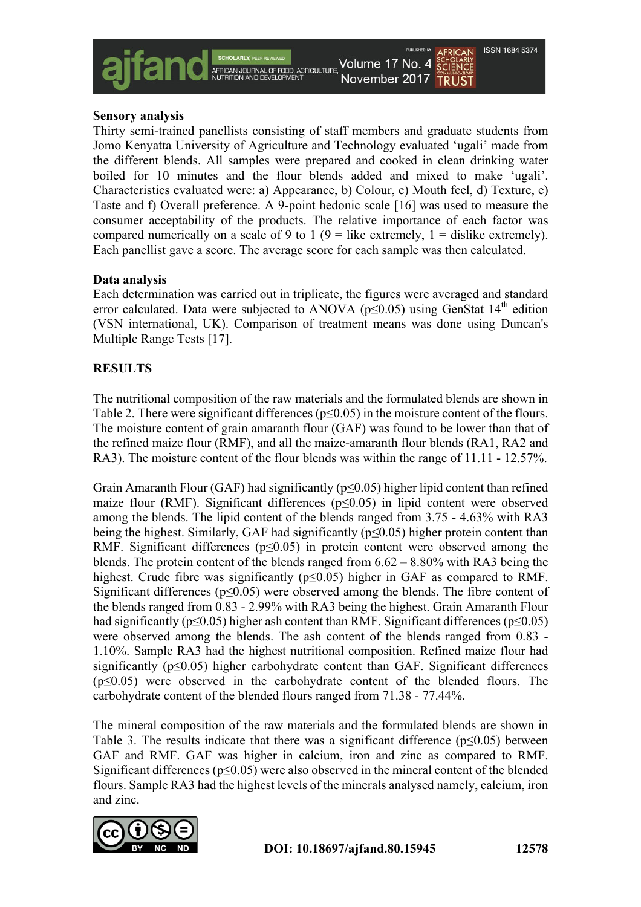

#### **Sensory analysis**

Thirty semi-trained panellists consisting of staff members and graduate students from Jomo Kenyatta University of Agriculture and Technology evaluated 'ugali' made from the different blends. All samples were prepared and cooked in clean drinking water boiled for 10 minutes and the flour blends added and mixed to make 'ugali'. Characteristics evaluated were: a) Appearance, b) Colour, c) Mouth feel, d) Texture, e) Taste and f) Overall preference. A 9-point hedonic scale [16] was used to measure the consumer acceptability of the products. The relative importance of each factor was compared numerically on a scale of 9 to 1 (9 = like extremely,  $1 =$  dislike extremely). Each panellist gave a score. The average score for each sample was then calculated.

### **Data analysis**

Each determination was carried out in triplicate, the figures were averaged and standard error calculated. Data were subjected to ANOVA ( $p \le 0.05$ ) using GenStat 14<sup>th</sup> edition (VSN international, UK). Comparison of treatment means was done using Duncan's Multiple Range Tests [17].

### **RESULTS**

The nutritional composition of the raw materials and the formulated blends are shown in Table 2. There were significant differences ( $p \le 0.05$ ) in the moisture content of the flours. The moisture content of grain amaranth flour (GAF) was found to be lower than that of the refined maize flour (RMF), and all the maize-amaranth flour blends (RA1, RA2 and RA3). The moisture content of the flour blends was within the range of 11.11 - 12.57%.

Grain Amaranth Flour (GAF) had significantly ( $p \le 0.05$ ) higher lipid content than refined maize flour (RMF). Significant differences ( $p \le 0.05$ ) in lipid content were observed among the blends. The lipid content of the blends ranged from 3.75 - 4.63% with RA3 being the highest. Similarly, GAF had significantly ( $p \le 0.05$ ) higher protein content than RMF. Significant differences ( $p \leq 0.05$ ) in protein content were observed among the blends. The protein content of the blends ranged from 6.62 – 8.80% with RA3 being the highest. Crude fibre was significantly ( $p \le 0.05$ ) higher in GAF as compared to RMF. Significant differences (p≤0.05) were observed among the blends. The fibre content of the blends ranged from 0.83 - 2.99% with RA3 being the highest. Grain Amaranth Flour had significantly ( $p \le 0.05$ ) higher ash content than RMF. Significant differences ( $p \le 0.05$ ) were observed among the blends. The ash content of the blends ranged from 0.83 - 1.10%. Sample RA3 had the highest nutritional composition. Refined maize flour had significantly (p≤0.05) higher carbohydrate content than GAF. Significant differences (p≤0.05) were observed in the carbohydrate content of the blended flours. The carbohydrate content of the blended flours ranged from 71.38 - 77.44%.

The mineral composition of the raw materials and the formulated blends are shown in Table 3. The results indicate that there was a significant difference  $(p<0.05)$  between GAF and RMF. GAF was higher in calcium, iron and zinc as compared to RMF. Significant differences ( $p \le 0.05$ ) were also observed in the mineral content of the blended flours. Sample RA3 had the highest levels of the minerals analysed namely, calcium, iron and zinc.

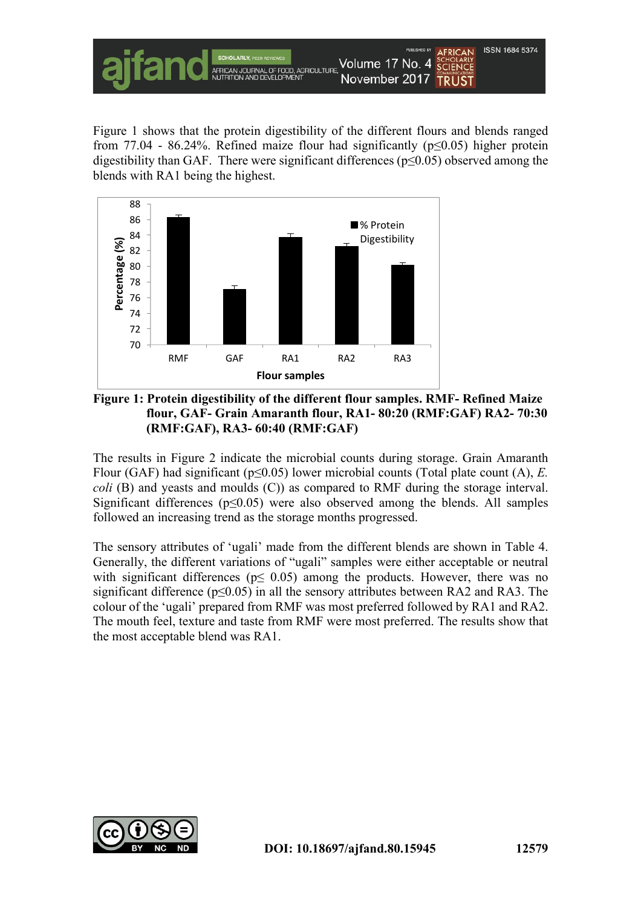

Figure 1 shows that the protein digestibility of the different flours and blends ranged from 77.04 - 86.24%. Refined maize flour had significantly ( $p \le 0.05$ ) higher protein digestibility than GAF. There were significant differences (p≤0.05) observed among the blends with RA1 being the highest.



**Figure 1: Protein digestibility of the different flour samples. RMF- Refined Maize flour, GAF- Grain Amaranth flour, RA1- 80:20 (RMF:GAF) RA2- 70:30 (RMF:GAF), RA3- 60:40 (RMF:GAF)**

The results in Figure 2 indicate the microbial counts during storage. Grain Amaranth Flour (GAF) had significant (p≤0.05) lower microbial counts (Total plate count (A), *E. coli* (B) and yeasts and moulds (C)) as compared to RMF during the storage interval. Significant differences ( $p \leq 0.05$ ) were also observed among the blends. All samples followed an increasing trend as the storage months progressed.

The sensory attributes of 'ugali' made from the different blends are shown in Table 4. Generally, the different variations of "ugali" samples were either acceptable or neutral with significant differences ( $p \leq 0.05$ ) among the products. However, there was no significant difference ( $p \le 0.05$ ) in all the sensory attributes between RA2 and RA3. The colour of the 'ugali' prepared from RMF was most preferred followed by RA1 and RA2. The mouth feel, texture and taste from RMF were most preferred. The results show that the most acceptable blend was RA1.

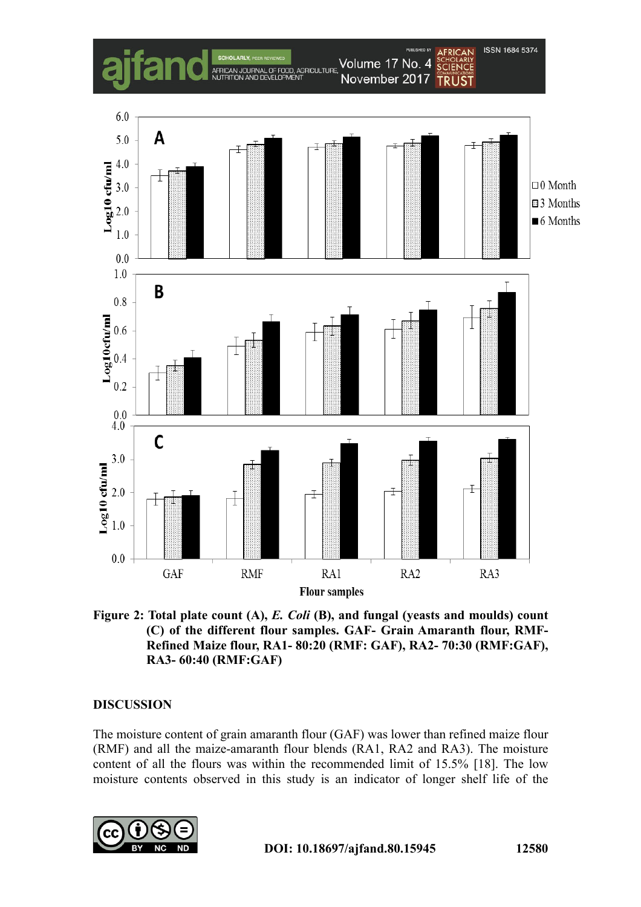

**Figure 2: Total plate count (A),** *E. Coli* **(B), and fungal (yeasts and moulds) count (C) of the different flour samples. GAF- Grain Amaranth flour, RMF-Refined Maize flour, RA1- 80:20 (RMF: GAF), RA2- 70:30 (RMF:GAF), RA3- 60:40 (RMF:GAF)**

### **DISCUSSION**

The moisture content of grain amaranth flour (GAF) was lower than refined maize flour (RMF) and all the maize-amaranth flour blends (RA1, RA2 and RA3). The moisture content of all the flours was within the recommended limit of 15.5% [18]. The low moisture contents observed in this study is an indicator of longer shelf life of the

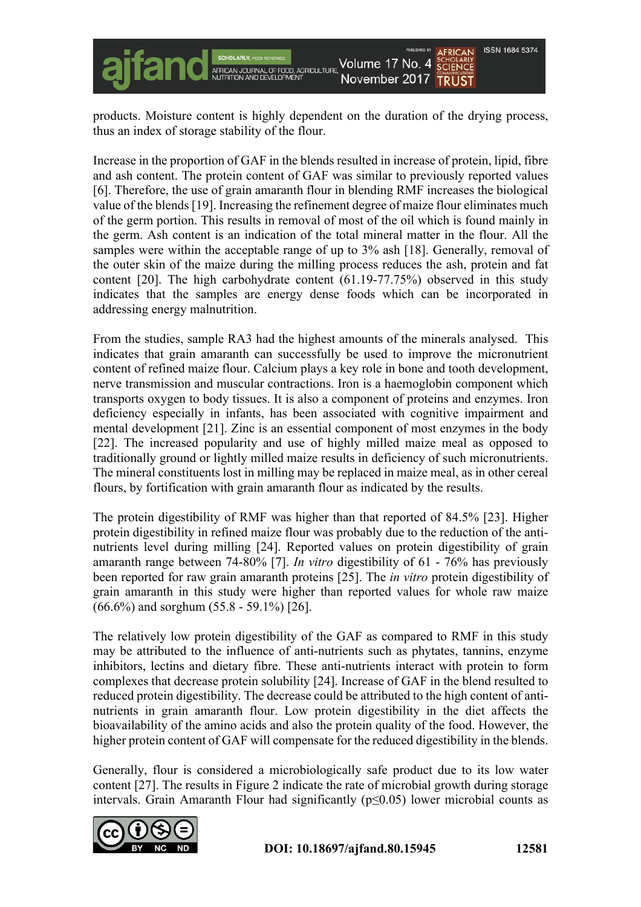products. Moisture content is highly dependent on the duration of the drying process, thus an index of storage stability of the flour.

Increase in the proportion of GAF in the blends resulted in increase of protein, lipid, fibre and ash content. The protein content of GAF was similar to previously reported values [6]. Therefore, the use of grain amaranth flour in blending RMF increases the biological value of the blends [19]. Increasing the refinement degree of maize flour eliminates much of the germ portion. This results in removal of most of the oil which is found mainly in the germ. Ash content is an indication of the total mineral matter in the flour. All the samples were within the acceptable range of up to 3% ash [18]. Generally, removal of the outer skin of the maize during the milling process reduces the ash, protein and fat content [20]. The high carbohydrate content (61.19-77.75%) observed in this study indicates that the samples are energy dense foods which can be incorporated in addressing energy malnutrition.

From the studies, sample RA3 had the highest amounts of the minerals analysed. This indicates that grain amaranth can successfully be used to improve the micronutrient content of refined maize flour. Calcium plays a key role in bone and tooth development, nerve transmission and muscular contractions. Iron is a haemoglobin component which transports oxygen to body tissues. It is also a component of proteins and enzymes. Iron deficiency especially in infants, has been associated with cognitive impairment and mental development [21]. Zinc is an essential component of most enzymes in the body [22]. The increased popularity and use of highly milled maize meal as opposed to traditionally ground or lightly milled maize results in deficiency of such micronutrients. The mineral constituents lost in milling may be replaced in maize meal, as in other cereal flours, by fortification with grain amaranth flour as indicated by the results.

The protein digestibility of RMF was higher than that reported of 84.5% [23]. Higher protein digestibility in refined maize flour was probably due to the reduction of the antinutrients level during milling [24]. Reported values on protein digestibility of grain amaranth range between 74-80% [7]. *In vitro* digestibility of 61 - 76% has previously been reported for raw grain amaranth proteins [25]. The *in vitro* protein digestibility of grain amaranth in this study were higher than reported values for whole raw maize (66.6%) and sorghum (55.8 - 59.1%) [26].

The relatively low protein digestibility of the GAF as compared to RMF in this study may be attributed to the influence of anti-nutrients such as phytates, tannins, enzyme inhibitors, lectins and dietary fibre. These anti-nutrients interact with protein to form complexes that decrease protein solubility [24]. Increase of GAF in the blend resulted to reduced protein digestibility. The decrease could be attributed to the high content of antinutrients in grain amaranth flour. Low protein digestibility in the diet affects the bioavailability of the amino acids and also the protein quality of the food. However, the higher protein content of GAF will compensate for the reduced digestibility in the blends.

Generally, flour is considered a microbiologically safe product due to its low water content [27]. The results in Figure 2 indicate the rate of microbial growth during storage intervals. Grain Amaranth Flour had significantly (p≤0.05) lower microbial counts as

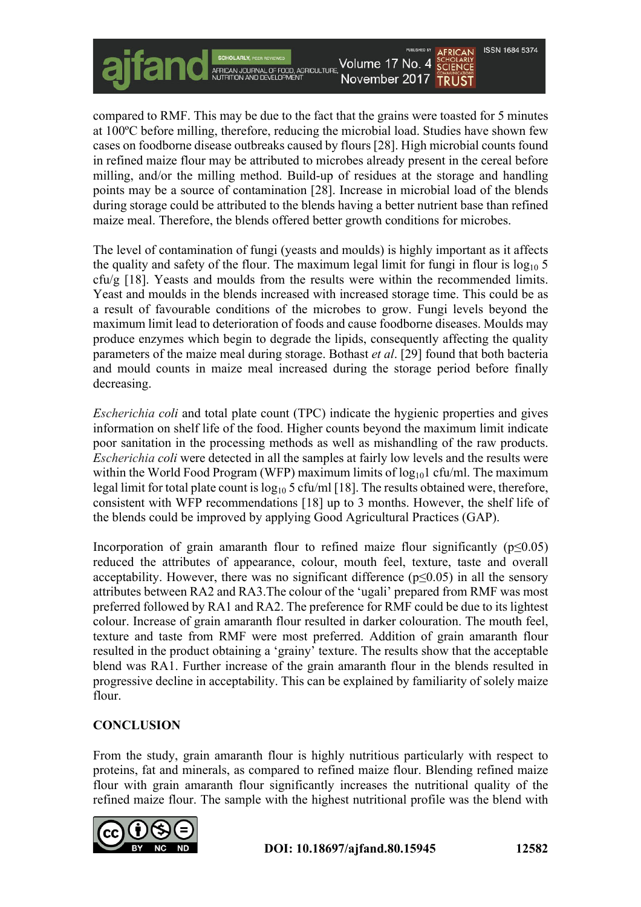**ISSN 1684 5374** 

compared to RMF. This may be due to the fact that the grains were toasted for 5 minutes at 100ºC before milling, therefore, reducing the microbial load. Studies have shown few cases on foodborne disease outbreaks caused by flours [28]. High microbial counts found in refined maize flour may be attributed to microbes already present in the cereal before milling, and/or the milling method. Build-up of residues at the storage and handling points may be a source of contamination [28]. Increase in microbial load of the blends during storage could be attributed to the blends having a better nutrient base than refined maize meal. Therefore, the blends offered better growth conditions for microbes.

The level of contamination of fungi (yeasts and moulds) is highly important as it affects the quality and safety of the flour. The maximum legal limit for fungi in flour is  $log_{10} 5$ cfu/g [18]. Yeasts and moulds from the results were within the recommended limits. Yeast and moulds in the blends increased with increased storage time. This could be as a result of favourable conditions of the microbes to grow. Fungi levels beyond the maximum limit lead to deterioration of foods and cause foodborne diseases. Moulds may produce enzymes which begin to degrade the lipids, consequently affecting the quality parameters of the maize meal during storage. Bothast *et al*. [29] found that both bacteria and mould counts in maize meal increased during the storage period before finally decreasing.

*Escherichia coli* and total plate count (TPC) indicate the hygienic properties and gives information on shelf life of the food. Higher counts beyond the maximum limit indicate poor sanitation in the processing methods as well as mishandling of the raw products. *Escherichia coli* were detected in all the samples at fairly low levels and the results were within the World Food Program (WFP) maximum limits of  $log_{10}1$  cfu/ml. The maximum legal limit for total plate count is  $\log_{10} 5 \text{ cftu/ml}$  [18]. The results obtained were, therefore, consistent with WFP recommendations [18] up to 3 months. However, the shelf life of the blends could be improved by applying Good Agricultural Practices (GAP).

Incorporation of grain amaranth flour to refined maize flour significantly ( $p \le 0.05$ ) reduced the attributes of appearance, colour, mouth feel, texture, taste and overall acceptability. However, there was no significant difference ( $p \le 0.05$ ) in all the sensory attributes between RA2 and RA3.The colour of the 'ugali' prepared from RMF was most preferred followed by RA1 and RA2. The preference for RMF could be due to its lightest colour. Increase of grain amaranth flour resulted in darker colouration. The mouth feel, texture and taste from RMF were most preferred. Addition of grain amaranth flour resulted in the product obtaining a 'grainy' texture. The results show that the acceptable blend was RA1. Further increase of the grain amaranth flour in the blends resulted in progressive decline in acceptability. This can be explained by familiarity of solely maize flour.

## **CONCLUSION**

From the study, grain amaranth flour is highly nutritious particularly with respect to proteins, fat and minerals, as compared to refined maize flour. Blending refined maize flour with grain amaranth flour significantly increases the nutritional quality of the refined maize flour. The sample with the highest nutritional profile was the blend with

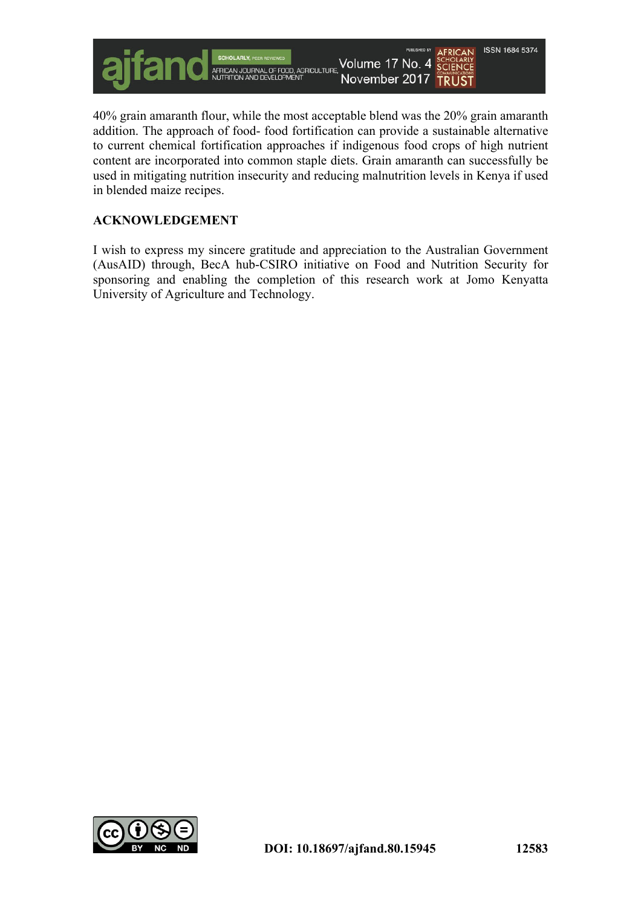

40% grain amaranth flour, while the most acceptable blend was the 20% grain amaranth addition. The approach of food- food fortification can provide a sustainable alternative to current chemical fortification approaches if indigenous food crops of high nutrient content are incorporated into common staple diets. Grain amaranth can successfully be used in mitigating nutrition insecurity and reducing malnutrition levels in Kenya if used in blended maize recipes.

### **ACKNOWLEDGEMENT**

I wish to express my sincere gratitude and appreciation to the Australian Government (AusAID) through, BecA hub-CSIRO initiative on Food and Nutrition Security for sponsoring and enabling the completion of this research work at Jomo Kenyatta University of Agriculture and Technology.

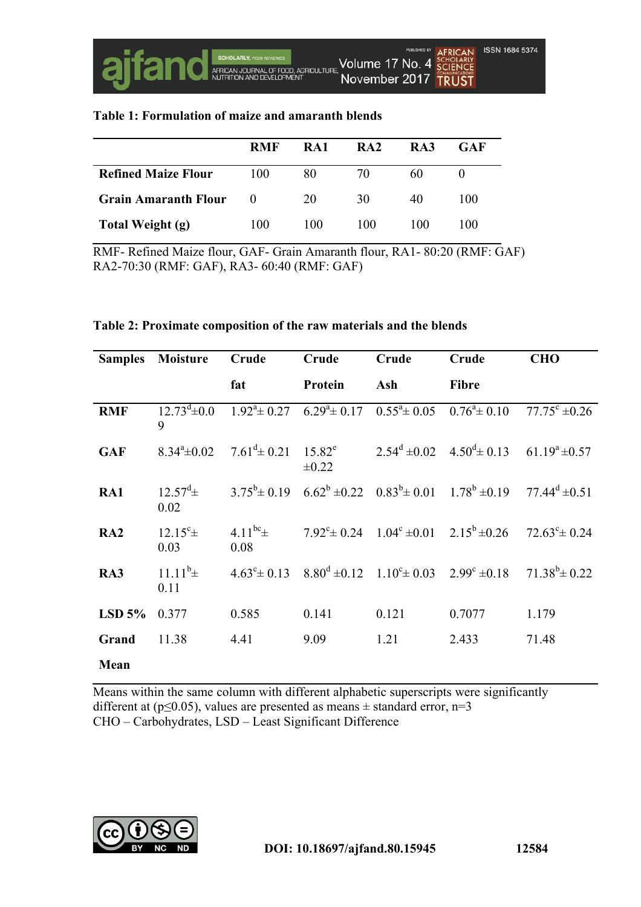| Table 1: Formulation of maize and amaranth blends |
|---------------------------------------------------|
|---------------------------------------------------|

|                             | <b>RMF</b> | RA1 | RA <sub>2</sub> | RA3 | GAF |
|-----------------------------|------------|-----|-----------------|-----|-----|
| <b>Refined Maize Flour</b>  | 100        | 80  | 70              | 60  |     |
| <b>Grain Amaranth Flour</b> | $\theta$   | 20  | 30              | 40  | 100 |
| Total Weight (g)            | 100        | 100 | 100             | 100 | 100 |

RMF- Refined Maize flour, GAF- Grain Amaranth flour, RA1- 80:20 (RMF: GAF) RA2-70:30 (RMF: GAF), RA3- 60:40 (RMF: GAF)

#### **Table 2: Proximate composition of the raw materials and the blends**

|            | <b>Samples</b> Moisture        | Crude                                                       | Crude      | Crude | Crude                                                                                           | <b>CHO</b>               |
|------------|--------------------------------|-------------------------------------------------------------|------------|-------|-------------------------------------------------------------------------------------------------|--------------------------|
|            |                                | fat                                                         | Protein    | Ash   | <b>Fibre</b>                                                                                    |                          |
| <b>RMF</b> | 9                              |                                                             |            |       | $12.73^d \pm 0.0$ $1.92^d \pm 0.27$ $6.29^d \pm 0.17$ $0.55^d \pm 0.05$ $0.76^d \pm 0.10$       | $77.75^{\circ}$ ±0.26    |
| <b>GAF</b> |                                | $8.34^{\circ}\pm0.02$ $7.61^{\circ}\pm0.21$ $15.82^{\circ}$ | $\pm 0.22$ |       | $2.54^d \pm 0.02$ $4.50^d \pm 0.13$ $61.19^a \pm 0.57$                                          |                          |
| RA1        | $12.57^{\mathrm{d}}$ ±<br>0.02 |                                                             |            |       | $3.75^b \pm 0.19$ $6.62^b \pm 0.22$ $0.83^b \pm 0.01$ $1.78^b \pm 0.19$ $77.44^d \pm 0.51$      |                          |
| RA2        | $12.15^c \pm$<br>0.03          | 4.11 <sup>bc</sup> $\pm$<br>0.08                            |            |       | $7.92^{\circ} \pm 0.24$ $1.04^{\circ} \pm 0.01$ $2.15^{\circ} \pm 0.26$                         | $72.63^{\circ} \pm 0.24$ |
| RA3        | $11.11^{b_{\pm}}$<br>0.11      |                                                             |            |       | $4.63^{\circ} \pm 0.13$ $8.80^{\circ} \pm 0.12$ $1.10^{\circ} \pm 0.03$ $2.99^{\circ} \pm 0.18$ | $71.38^b \pm 0.22$       |
| $LSD$ 5%   | 0.377                          | 0.585                                                       | 0.141      | 0.121 | 0.7077                                                                                          | 1.179                    |
| Grand      | 11.38                          | 4.41                                                        | 9.09       | 1.21  | 2.433                                                                                           | 71.48                    |
| Mean       |                                |                                                             |            |       |                                                                                                 |                          |

Means within the same column with different alphabetic superscripts were significantly different at ( $p \le 0.05$ ), values are presented as means  $\pm$  standard error, n=3 CHO – Carbohydrates, LSD – Least Significant Difference

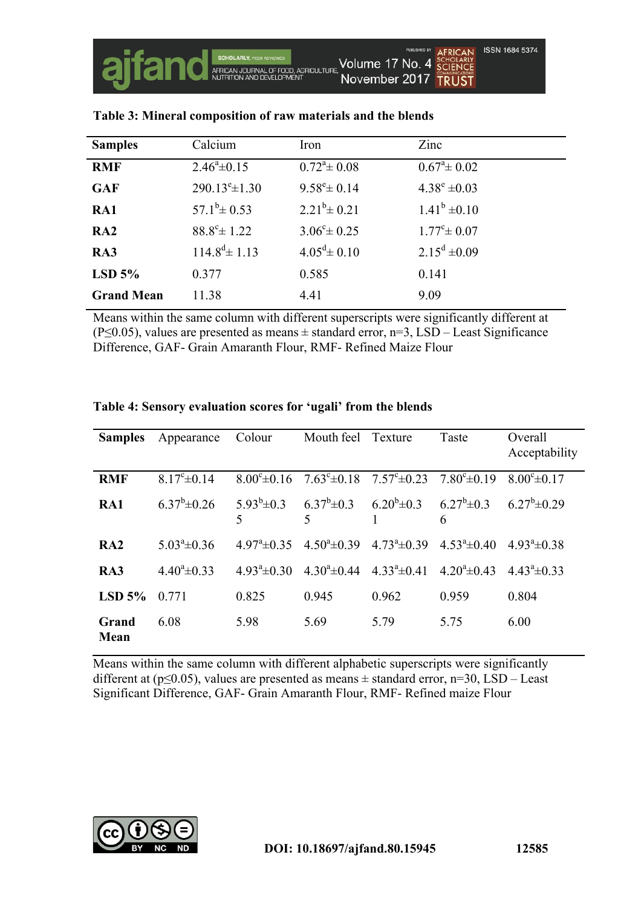| <b>Samples</b>    | Calcium                     | Iron                         | Zinc                  |
|-------------------|-----------------------------|------------------------------|-----------------------|
| <b>RMF</b>        | $2.46^{\circ} \pm 0.15$     | $0.72^{\mathrm{a}} \pm 0.08$ | $0.67^{\circ}$ ± 0.02 |
| <b>GAF</b>        | $290.13^{\circ} \pm 1.30$   | $9.58^{\rm e}{\pm}0.14$      | $4.38^e \pm 0.03$     |
| RA1               | $57.1^b \pm 0.53$           | $2.21^b \pm 0.21$            | $1.41^b \pm 0.10$     |
| RA2               | $88.8^{\circ} \pm 1.22$     | $3.06^{\circ} \pm 0.25$      | $1.77^{\circ}$ ± 0.07 |
| RA3               | $114.8^{\text{d}} \pm 1.13$ | $4.05^{\text{d}} \pm 0.10$   | $2.15^d \pm 0.09$     |
| $LSD$ 5%          | 0.377                       | 0.585                        | 0.141                 |
| <b>Grand Mean</b> | 11.38                       | 4.41                         | 9.09                  |

### **Table 3: Mineral composition of raw materials and the blends**

Means within the same column with different superscripts were significantly different at (P≤0.05), values are presented as means ± standard error, n=3, LSD – Least Significance Difference, GAF- Grain Amaranth Flour, RMF- Refined Maize Flour

| <b>Samples</b>       | Appearance              | Colour                  | Mouth feel            | Texture                                                                 | Taste                                                                   | Overall<br>Acceptability |
|----------------------|-------------------------|-------------------------|-----------------------|-------------------------------------------------------------------------|-------------------------------------------------------------------------|--------------------------|
| <b>RMF</b>           | $8.17^{\circ} \pm 0.14$ | $8.00^{\circ} \pm 0.16$ |                       | $7.63^{\circ} \pm 0.18$ $7.57^{\circ} \pm 0.23$ $7.80^{\circ} \pm 0.19$ |                                                                         | $8.00^{\circ}$ ± 0.17    |
| RA1                  | $6.37^b \pm 0.26$       | $5.93^b \pm 0.3$<br>5   | $\mathcal{F}$         | $6.37^b \pm 0.3$ $6.20^b \pm 0.3$ $6.27^b \pm 0.3$                      | 6                                                                       | $6.27^b \pm 0.29$        |
| RA2                  | $5.03^{\circ}$ ± 0.36   | $4.97^{\circ}$ ± 0.35   |                       |                                                                         | $4.50^{\circ} \pm 0.39$ $4.73^{\circ} \pm 0.39$ $4.53^{\circ} \pm 0.40$ | $4.93^{\circ} \pm 0.38$  |
| RA3                  | $4.40^{\circ} \pm 0.33$ | $4.93^a \pm 0.30$       | $4.30^{\circ}$ ± 0.44 | $4.33^a \pm 0.41$                                                       | $4.20^{\circ}$ ± 0.43                                                   | $4.43^a \pm 0.33$        |
| $LSD$ 5%             | 0.771                   | 0.825                   | 0.945                 | 0.962                                                                   | 0.959                                                                   | 0.804                    |
| Grand<br><b>Mean</b> | 6.08                    | 5.98                    | 5.69                  | 5.79                                                                    | 5.75                                                                    | 6.00                     |

#### **Table 4: Sensory evaluation scores for 'ugali' from the blends**

Means within the same column with different alphabetic superscripts were significantly different at ( $p \le 0.05$ ), values are presented as means  $\pm$  standard error, n=30, LSD – Least Significant Difference, GAF- Grain Amaranth Flour, RMF- Refined maize Flour

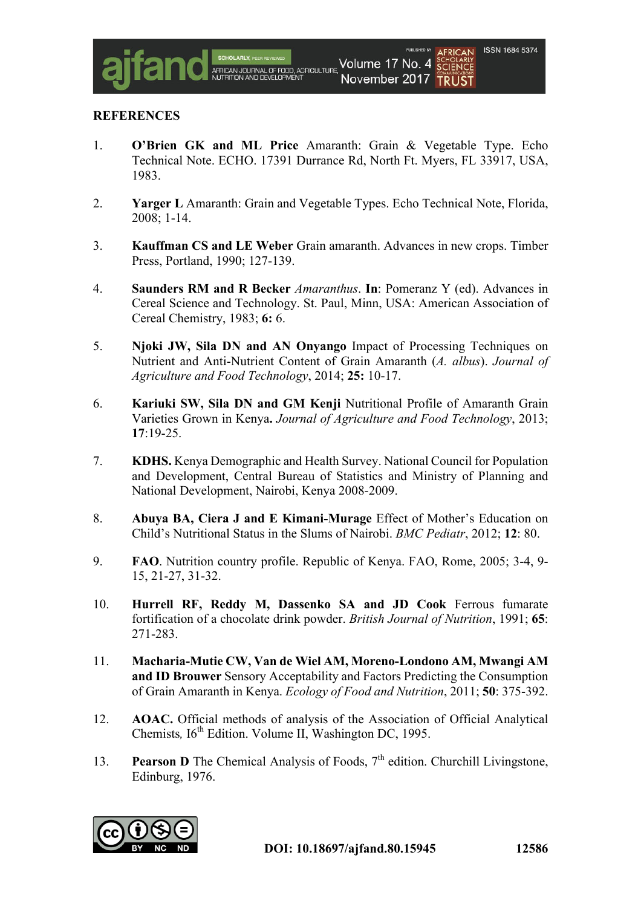### **REFERENCES**

- 1. **O'Brien GK and ML Price** Amaranth: Grain & Vegetable Type. Echo Technical Note. ECHO. 17391 Durrance Rd, North Ft. Myers, FL 33917, USA, 1983.
- 2. **Yarger L** Amaranth: Grain and Vegetable Types. Echo Technical Note, Florida, 2008; 1-14.
- 3. **Kauffman CS and LE Weber** Grain amaranth. Advances in new crops. Timber Press, Portland, 1990; 127-139.
- 4. **Saunders RM and R Becker** *Amaranthus*. **In**: Pomeranz Y (ed). Advances in Cereal Science and Technology. St. Paul, Minn, USA: American Association of Cereal Chemistry, 1983; **6:** 6.
- 5. **Njoki JW, Sila DN and AN Onyango** Impact of Processing Techniques on Nutrient and Anti-Nutrient Content of Grain Amaranth (*A. albus*). *Journal of Agriculture and Food Technology*, 2014; **25:** 10-17.
- 6. **Kariuki SW, Sila DN and GM Kenji** Nutritional Profile of Amaranth Grain Varieties Grown in Kenya**.** *Journal of Agriculture and Food Technology*, 2013; **17**:19-25.
- 7. **KDHS.** Kenya Demographic and Health Survey. National Council for Population and Development, Central Bureau of Statistics and Ministry of Planning and National Development, Nairobi, Kenya 2008-2009.
- 8. **Abuya BA, Ciera J and E Kimani-Murage** Effect of Mother's Education on Child's Nutritional Status in the Slums of Nairobi. *BMC Pediatr*, 2012; **12**: 80.
- 9. **FAO**. Nutrition country profile. Republic of Kenya. FAO, Rome, 2005; 3-4, 9- 15, 21-27, 31-32.
- 10. **Hurrell RF, Reddy M, Dassenko SA and JD Cook** Ferrous fumarate fortification of a chocolate drink powder. *British Journal of Nutrition*, 1991; **65**: 271-283.
- 11. **Macharia-Mutie CW, Van de Wiel AM, Moreno-Londono AM, Mwangi AM and ID Brouwer** Sensory Acceptability and Factors Predicting the Consumption of Grain Amaranth in Kenya. *Ecology of Food and Nutrition*, 2011; **50**: 375-392.
- 12. **AOAC.** Official methods of analysis of the Association of Official Analytical Chemists,  $16^{th}$  Edition. Volume II, Washington DC, 1995.
- 13. **Pearson D** The Chemical Analysis of Foods, 7<sup>th</sup> edition. Churchill Livingstone, Edinburg, 1976.

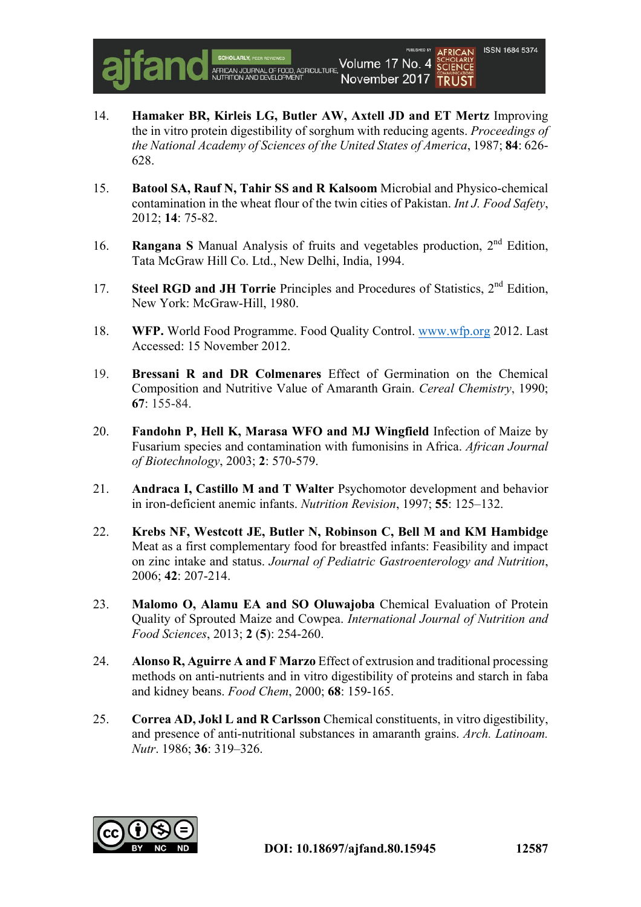

- 14. **Hamaker BR, Kirleis LG, Butler AW, Axtell JD and ET Mertz** Improving the in vitro protein digestibility of sorghum with reducing agents. *Proceedings of the National Academy of Sciences of the United States of America*, 1987; **84**: 626- 628.
- 15. **Batool SA, Rauf N, Tahir SS and R Kalsoom** Microbial and Physico-chemical contamination in the wheat flour of the twin cities of Pakistan. *Int J. Food Safety*, 2012; **14**: 75-82.
- 16. **Rangana S** Manual Analysis of fruits and vegetables production, 2nd Edition, Tata McGraw Hill Co. Ltd., New Delhi, India, 1994.
- 17. **Steel RGD and JH Torrie** Principles and Procedures of Statistics, 2nd Edition, New York: McGraw-Hill, 1980.
- 18. **WFP.** World Food Programme. Food Quality Control. www.wfp.org 2012. Last Accessed: 15 November 2012.
- 19. **Bressani R and DR Colmenares** Effect of Germination on the Chemical Composition and Nutritive Value of Amaranth Grain. *Cereal Chemistry*, 1990; **67**: 155-84.
- 20. **Fandohn P, Hell K, Marasa WFO and MJ Wingfield** Infection of Maize by Fusarium species and contamination with fumonisins in Africa. *African Journal of Biotechnology*, 2003; **2**: 570-579.
- 21. **Andraca I, Castillo M and T Walter** Psychomotor development and behavior in iron-deficient anemic infants. *Nutrition Revision*, 1997; **55**: 125–132.
- 22. **Krebs NF, Westcott JE, Butler N, Robinson C, Bell M and KM Hambidge**  Meat as a first complementary food for breastfed infants: Feasibility and impact on zinc intake and status. *Journal of Pediatric Gastroenterology and Nutrition*, 2006; **42**: 207-214.
- 23. **Malomo O, Alamu EA and SO Oluwajoba** Chemical Evaluation of Protein Quality of Sprouted Maize and Cowpea. *International Journal of Nutrition and Food Sciences*, 2013; **2** (**5**): 254-260.
- 24. **Alonso R, Aguirre A and F Marzo** Effect of extrusion and traditional processing methods on anti-nutrients and in vitro digestibility of proteins and starch in faba and kidney beans. *Food Chem*, 2000; **68**: 159-165.
- 25. **Correa AD, Jokl L and R Carlsson** Chemical constituents, in vitro digestibility, and presence of anti-nutritional substances in amaranth grains. *Arch. Latinoam. Nutr*. 1986; **36**: 319–326.